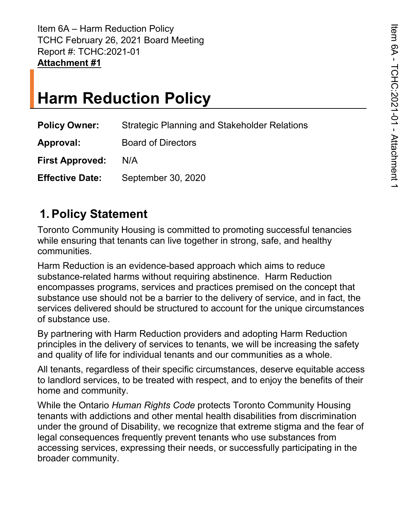Item 6A – Harm Reduction Policy TCHC February 26, 2021 Board Meeting Report #: TCHC:2021-01 **Attachment #1** 

# **Harm Reduction Policy**

| <b>Policy Owner:</b>   | <b>Strategic Planning and Stakeholder Relations</b> |  |  |
|------------------------|-----------------------------------------------------|--|--|
| Approval:              | <b>Board of Directors</b>                           |  |  |
| First Approved: N/A    |                                                     |  |  |
| <b>Effective Date:</b> | September 30, 2020                                  |  |  |

### **1. Policy Statement**

 Toronto Community Housing is committed to promoting successful tenancies while ensuring that tenants can live together in strong, safe, and healthy communities.

 substance-related harms without requiring abstinence. Harm Reduction encompasses programs, services and practices premised on the concept that substance use should not be a barrier to the delivery of service, and in fact, the of substance use. Harm Reduction is an evidence-based approach which aims to reduce services delivered should be structured to account for the unique circumstances

 principles in the delivery of services to tenants, we will be increasing the safety and quality of life for individual tenants and our communities as a whole. By partnering with Harm Reduction providers and adopting Harm Reduction

 All tenants, regardless of their specific circumstances, deserve equitable access to landlord services, to be treated with respect, and to enjoy the benefits of their home and community.

 under the ground of Disability, we recognize that extreme stigma and the fear of legal consequences frequently prevent tenants who use substances from broader community. While the Ontario *Human Rights Code* protects Toronto Community Housing tenants with addictions and other mental health disabilities from discrimination accessing services, expressing their needs, or successfully participating in the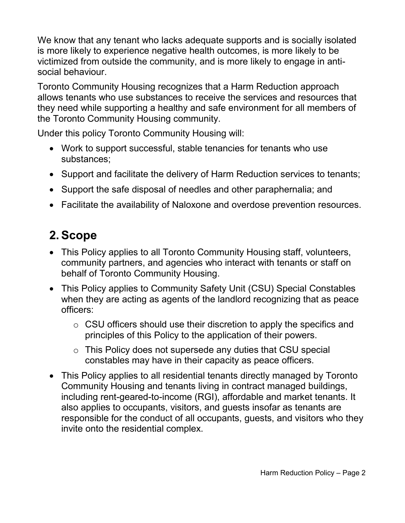We know that any tenant who lacks adequate supports and is socially isolated is more likely to experience negative health outcomes, is more likely to be victimized from outside the community, and is more likely to engage in antisocial behaviour.

 allows tenants who use substances to receive the services and resources that Toronto Community Housing recognizes that a Harm Reduction approach they need while supporting a healthy and safe environment for all members of the Toronto Community Housing community.

Under this policy Toronto Community Housing will:

- • Work to support successful, stable tenancies for tenants who use substances;
- Support and facilitate the delivery of Harm Reduction services to tenants;
- Support the safe disposal of needles and other paraphernalia; and
- Facilitate the availability of Naloxone and overdose prevention resources.

# **2. Scope**

- This Policy applies to all Toronto Community Housing staff, volunteers, community partners, and agencies who interact with tenants or staff on behalf of Toronto Community Housing.
- This Policy applies to Community Safety Unit (CSU) Special Constables when they are acting as agents of the landlord recognizing that as peace officers:
	- o CSU officers should use their discretion to apply the specifics and principles of this Policy to the application of their powers.
	- $\circ~$  This Policy does not supersede any duties that CSU special constables may have in their capacity as peace officers.
- responsible for the conduct of all occupants, guests, and visitors who they • This Policy applies to all residential tenants directly managed by Toronto Community Housing and tenants living in contract managed buildings, including rent-geared-to-income (RGI), affordable and market tenants. It also applies to occupants, visitors, and guests insofar as tenants are invite onto the residential complex.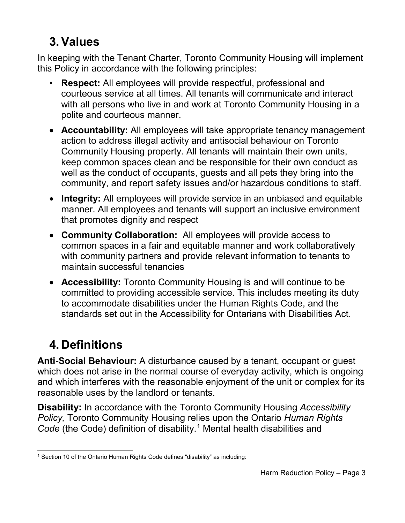# **3. Values**

 In keeping with the Tenant Charter, Toronto Community Housing will implement this Policy in accordance with the following principles:

- courteous service at all times. All tenants will communicate and interact • **Respect:** All employees will provide respectful, professional and with all persons who live in and work at Toronto Community Housing in a polite and courteous manner.
- keep common spaces clean and be responsible for their own conduct as • **Accountability:** All employees will take appropriate tenancy management action to address illegal activity and antisocial behaviour on Toronto Community Housing property. All tenants will maintain their own units, well as the conduct of occupants, guests and all pets they bring into the community, and report safety issues and/or hazardous conditions to staff.
- manner. All employees and tenants will support an inclusive environment • **Integrity:** All employees will provide service in an unbiased and equitable that promotes dignity and respect
- **Community Collaboration:** All employees will provide access to common spaces in a fair and equitable manner and work collaboratively with community partners and provide relevant information to tenants to maintain successful tenancies
- to accommodate disabilities under the Human Rights Code, and the • **Accessibility:** Toronto Community Housing is and will continue to be committed to providing accessible service. This includes meeting its duty standards set out in the Accessibility for Ontarians with Disabilities Act.

# **4. Definitions**

 and which interferes with the reasonable enjoyment of the unit or complex for its reasonable uses by the landlord or tenants. **Anti-Social Behaviour:** A disturbance caused by a tenant, occupant or guest which does not arise in the normal course of everyday activity, which is ongoing

**Disability:** In accordance with the Toronto Community Housing *Accessibility Policy,* Toronto Community Housing relies upon the Ontario *Human Rights Code* (the Code) definition of disability.<sup>1</sup> Mental health disabilities and

 $\overline{a}$ <sup>1</sup> Section 10 of the Ontario Human Rights Code defines "disability" as including: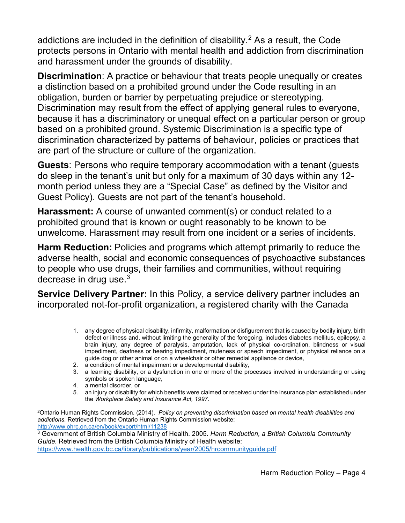and harassment under the grounds of disability. addictions are included in the definition of disability.<sup>2</sup> As a result, the Code protects persons in Ontario with mental health and addiction from discrimination

 a distinction based on a prohibited ground under the Code resulting in an based on a prohibited ground. Systemic Discrimination is a specific type of are part of the structure or culture of the organization. **Discrimination**: A practice or behaviour that treats people unequally or creates obligation, burden or barrier by perpetuating prejudice or stereotyping. Discrimination may result from the effect of applying general rules to everyone, because it has a discriminatory or unequal effect on a particular person or group discrimination characterized by patterns of behaviour, policies or practices that

**Guests**: Persons who require temporary accommodation with a tenant (guests do sleep in the tenant's unit but only for a maximum of 30 days within any 12 month period unless they are a "Special Case" as defined by the Visitor and Guest Policy). Guests are not part of the tenant's household.

**Harassment:** A course of unwanted comment(s) or conduct related to a prohibited ground that is known or ought reasonably to be known to be unwelcome. Harassment may result from one incident or a series of incidents.

**Harm Reduction:** Policies and programs which attempt primarily to reduce the adverse health, social and economic consequences of psychoactive substances to people who use drugs, their families and communities, without requiring decrease in drug use.<sup>3</sup>

 incorporated not-for-profit organization, a registered charity with the Canada **Service Delivery Partner:** In this Policy, a service delivery partner includes an

- 2. a condition of mental impairment or a developmental disability,
- 3. a learning disability, or a dysfunction in one or more of the processes involved in understanding or using symbols or spoken language,
- 4. a mental disorder, or

 $\overline{a}$ 

 defect or illness and, without limiting the generality of the foregoing, includes diabetes mellitus, epilepsy, a brain injury, any degree of paralysis, amputation, lack of physical co-ordination, blindness or visual impediment, deafness or hearing impediment, muteness or speech impediment, or physical reliance on a 1. any degree of physical disability, infirmity, malformation or disfigurement that is caused by bodily injury, birth guide dog or other animal or on a wheelchair or other remedial appliance or device,

 the *Workplace Safety and Insurance Act, 1997*. 5. an injury or disability for which benefits were claimed or received under the insurance plan established under

<sup>2</sup>Ontario Human Rights Commission. (2014). *Policy on preventing discrimination based on mental health disabilities and addictions.* Retrieved from the Ontario Human Rights Commission website: <http://www.ohrc.on.ca/en/book/export/html/11238>

 3 Government of British Columbia Ministry of Health. 2005. *Harm Reduction, a British Columbia Community Guide.* Retrieved from the British Columbia Ministry of Health website: <https://www.health.gov.bc.ca/library/publications/year/2005/hrcommunityguide.pdf>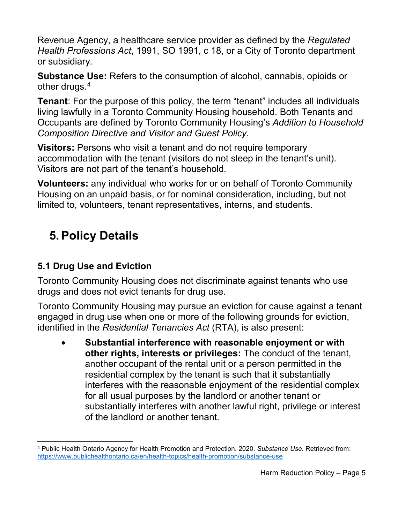Revenue Agency, a healthcare service provider as defined by the *Regulated Health Professions Act*, 1991, SO 1991, c 18, or a City of Toronto department or subsidiary.

 **Substance Use:** Refers to the consumption of alcohol, cannabis, opioids or other drugs.<sup>4</sup>

**Tenant**: For the purpose of this policy, the term "tenant" includes all individuals living lawfully in a Toronto Community Housing household. Both Tenants and Occupants are defined by Toronto Community Housing's *Addition to Household Composition Directive and Visitor and Guest Policy*.

 **Visitors:** Persons who visit a tenant and do not require temporary accommodation with the tenant (visitors do not sleep in the tenant's unit). Visitors are not part of the tenant's household.

**Volunteers:** any individual who works for or on behalf of Toronto Community Housing on an unpaid basis, or for nominal consideration, including, but not limited to, volunteers, tenant representatives, interns, and students.

## **5. Policy Details**

#### **5.1 Drug Use and Eviction**

 drugs and does not evict tenants for drug use. Toronto Community Housing does not discriminate against tenants who use

 Toronto Community Housing may pursue an eviction for cause against a tenant engaged in drug use when one or more of the following grounds for eviction, identified in the *Residential Tenancies Act* (RTA), is also present:

 **other rights, interests or privileges:** The conduct of the tenant, residential complex by the tenant is such that it substantially interferes with the reasonable enjoyment of the residential complex • **Substantial interference with reasonable enjoyment or with**  another occupant of the rental unit or a person permitted in the for all usual purposes by the landlord or another tenant or substantially interferes with another lawful right, privilege or interest of the landlord or another tenant.

 $\overline{a}$  4 Public Health Ontario Agency for Health Promotion and Protection. 2020. *Substance Use*. Retrieved from: <https://www.publichealthontario.ca/en/health-topics/health-promotion/substance-use>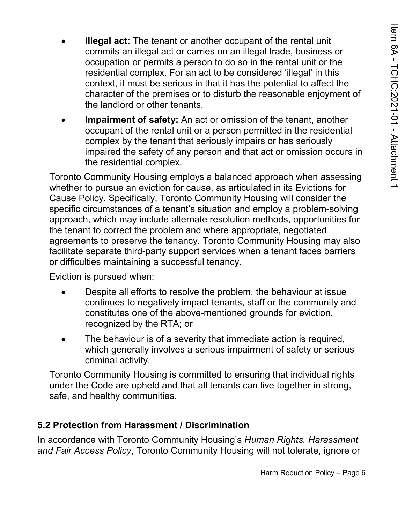- occupation or permits a person to do so in the rental unit or the context, it must be serious in that it has the potential to affect the **Illegal act:** The tenant or another occupant of the rental unit commits an illegal act or carries on an illegal trade, business or residential complex. For an act to be considered 'illegal' in this character of the premises or to disturb the reasonable enjoyment of the landlord or other tenants.
- • **Impairment of safety:** An act or omission of the tenant, another complex by the tenant that seriously impairs or has seriously impaired the safety of any person and that act or omission occurs in the residential complex. occupant of the rental unit or a person permitted in the residential

 specific circumstances of a tenant's situation and employ a problem-solving the tenant to correct the problem and where appropriate, negotiated agreements to preserve the tenancy. Toronto Community Housing may also or difficulties maintaining a successful tenancy. Toronto Community Housing employs a balanced approach when assessing whether to pursue an eviction for cause, as articulated in its Evictions for Cause Policy. Specifically, Toronto Community Housing will consider the approach, which may include alternate resolution methods, opportunities for facilitate separate third-party support services when a tenant faces barriers

Eviction is pursued when:

- • Despite all efforts to resolve the problem, the behaviour at issue continues to negatively impact tenants, staff or the community and recognized by the RTA; or constitutes one of the above-mentioned grounds for eviction,
- The behaviour is of a severity that immediate action is required, which generally involves a serious impairment of safety or serious criminal activity.

 Toronto Community Housing is committed to ensuring that individual rights under the Code are upheld and that all tenants can live together in strong, safe, and healthy communities.

#### **5.2 Protection from Harassment / Discrimination**

In accordance with Toronto Community Housing's *Human Rights, Harassment and Fair Access Policy*, Toronto Community Housing will not tolerate, ignore or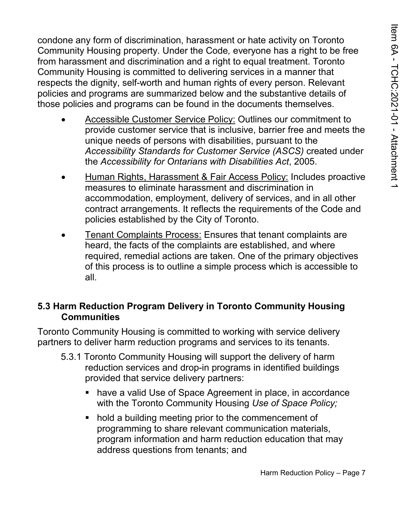from harassment and discrimination and a right to equal treatment. Toronto Community Housing is committed to delivering services in a manner that policies and programs are summarized below and the substantive details of condone any form of discrimination, harassment or hate activity on Toronto Community Housing property. Under the Code*,* everyone has a right to be free respects the dignity, self-worth and human rights of every person. Relevant those policies and programs can be found in the documents themselves.

- Accessible Customer Service Policy: Outlines our commitment to provide customer service that is inclusive, barrier free and meets the unique needs of persons with disabilities, pursuant to the *Accessibility Standards for Customer Service (ASCS)* created under the *Accessibility for Ontarians with Disabilities Act*, 2005.
- Human Rights, Harassment & Fair Access Policy: Includes proactive measures to eliminate harassment and discrimination in accommodation, employment, delivery of services, and in all other contract arrangements. It reflects the requirements of the Code and policies established by the City of Toronto.
- **Tenant Complaints Process: Ensures that tenant complaints are** heard, the facts of the complaints are established, and where required, remedial actions are taken. One of the primary objectives of this process is to outline a simple process which is accessible to all.

#### **5.3 Harm Reduction Program Delivery in Toronto Community Housing Communities**

 Toronto Community Housing is committed to working with service delivery partners to deliver harm reduction programs and services to its tenants.

- 5.3.1 Toronto Community Housing will support the delivery of harm reduction services and drop-in programs in identified buildings provided that service delivery partners:
	- **have a valid Use of Space Agreement in place, in accordance** with the Toronto Community Housing *Use of Space Policy;*
	- **hold a building meeting prior to the commencement of**  program information and harm reduction education that may programming to share relevant communication materials, address questions from tenants; and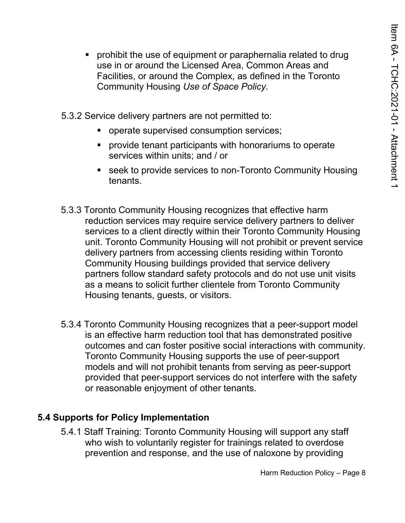- **Perohibit the use of equipment or paraphernalia related to drug**  Facilities, or around the Complex, as defined in the Toronto use in or around the Licensed Area, Common Areas and Community Housing *Use of Space Policy.*
- 5.3.2 Service delivery partners are not permitted to:
	- **properate supervised consumption services;**
	- **Perovide tenant participants with honorariums to operate** services within units; and / or
	- seek to provide services to non-Toronto Community Housing tenants.
- 5.3.3 Toronto Community Housing recognizes that effective harm unit. Toronto Community Housing will not prohibit or prevent service as a means to solicit further clientele from Toronto Community reduction services may require service delivery partners to deliver services to a client directly within their Toronto Community Housing delivery partners from accessing clients residing within Toronto Community Housing buildings provided that service delivery partners follow standard safety protocols and do not use unit visits Housing tenants, guests, or visitors.
- is an effective harm reduction tool that has demonstrated positive models and will not prohibit tenants from serving as peer-support 5.3.4 Toronto Community Housing recognizes that a peer-support model outcomes and can foster positive social interactions with community. Toronto Community Housing supports the use of peer-support provided that peer-support services do not interfere with the safety or reasonable enjoyment of other tenants.

#### **5.4 Supports for Policy Implementation**

 5.4.1 Staff Training: Toronto Community Housing will support any staff who wish to voluntarily register for trainings related to overdose prevention and response, and the use of naloxone by providing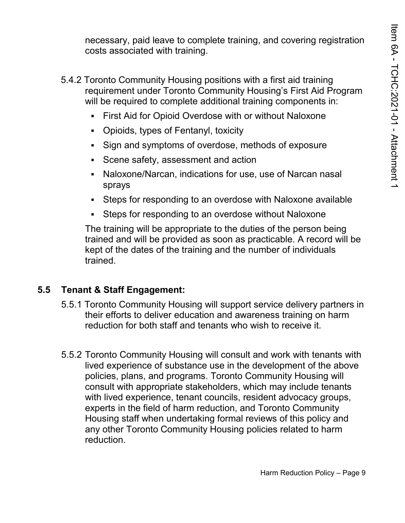necessary, paid leave to complete training, and covering registration costs associated with training.

- 5.4.2 Toronto Community Housing positions with a first aid training requirement under Toronto Community Housing's First Aid Program will be required to complete additional training components in:
	- First Aid for Opioid Overdose with or without Naloxone
	- Opioids, types of Fentanyl, toxicity
	- Sign and symptoms of overdose, methods of exposure
	- Scene safety, assessment and action
	- Naloxone/Narcan, indications for use, use of Narcan nasal sprays
	- Steps for responding to an overdose with Naloxone available
	- Steps for responding to an overdose without Naloxone

 The training will be appropriate to the duties of the person being kept of the dates of the training and the number of individuals trained and will be provided as soon as practicable. A record will be trained.

#### **5.5 Tenant & Staff Engagement:**

- reduction for both staff and tenants who wish to receive it. 5.5.1 Toronto Community Housing will support service delivery partners in their efforts to deliver education and awareness training on harm
- lived experience of substance use in the development of the above with lived experience, tenant councils, resident advocacy groups, any other Toronto Community Housing policies related to harm 5.5.2 Toronto Community Housing will consult and work with tenants with policies, plans, and programs. Toronto Community Housing will consult with appropriate stakeholders, which may include tenants experts in the field of harm reduction, and Toronto Community Housing staff when undertaking formal reviews of this policy and reduction.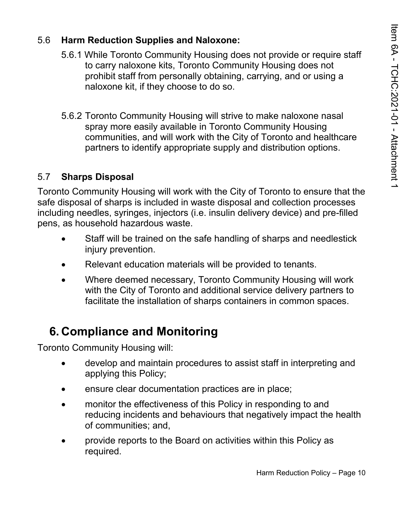#### 5.6 **Harm Reduction Supplies and Naloxone:**

- 5.6.1 While Toronto Community Housing does not provide or require staff to carry naloxone kits, Toronto Community Housing does not prohibit staff from personally obtaining, carrying, and or using a naloxone kit, if they choose to do so.
- partners to identify appropriate supply and distribution options. 5.6.2 Toronto Community Housing will strive to make naloxone nasal spray more easily available in Toronto Community Housing communities, and will work with the City of Toronto and healthcare

#### 5.7 **Sharps Disposal**

 Toronto Community Housing will work with the City of Toronto to ensure that the safe disposal of sharps is included in waste disposal and collection processes including needles, syringes, injectors (i.e. insulin delivery device) and pre-filled pens, as household hazardous waste.

- Staff will be trained on the safe handling of sharps and needlestick injury prevention.
- Relevant education materials will be provided to tenants.
- with the City of Toronto and additional service delivery partners to • Where deemed necessary, Toronto Community Housing will work facilitate the installation of sharps containers in common spaces.

### **6. Compliance and Monitoring**

Toronto Community Housing will:

- develop and maintain procedures to assist staff in interpreting and applying this Policy;
- ensure clear documentation practices are in place;
- reducing incidents and behaviours that negatively impact the health of communities; and, • monitor the effectiveness of this Policy in responding to and
- provide reports to the Board on activities within this Policy as required.